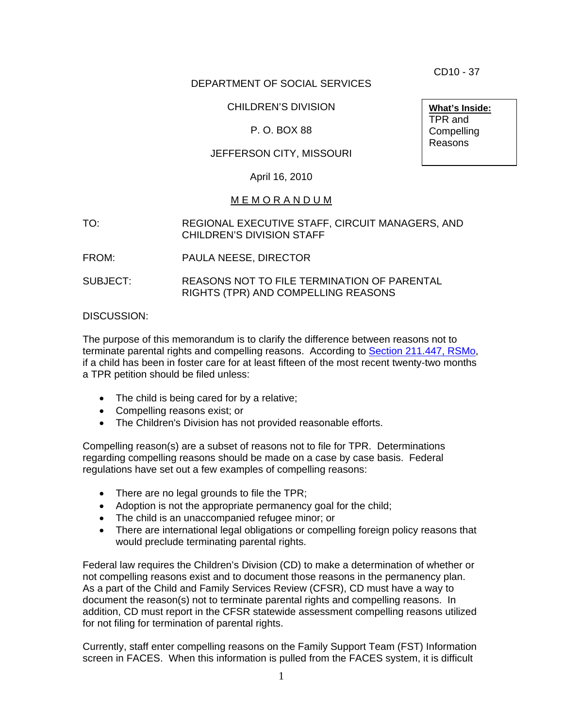CD10 - 37

## DEPARTMENT OF SOCIAL SERVICES

## CHILDREN'S DIVISION

# P. O. BOX 88

# JEFFERSON CITY, MISSOURI

#### April 16, 2010

#### M E M O R A N D U M

#### TO: REGIONAL EXECUTIVE STAFF, CIRCUIT MANAGERS, AND CHILDREN'S DIVISION STAFF

- FROM: PAULA NEESE, DIRECTOR
- SUBJECT: REASONS NOT TO FILE TERMINATION OF PARENTAL RIGHTS (TPR) AND COMPELLING REASONS

#### DISCUSSION:

The purpose of this memorandum is to clarify the difference between reasons not to terminate parental rights and compelling reasons. According to [Section 211.447, RSMo](http://www.moga.mo.gov/statutes/c200-299/2110000447.htm), if a child has been in foster care for at least fifteen of the most recent twenty-two months a TPR petition should be filed unless:

- The child is being cared for by a relative;
- Compelling reasons exist; or
- The Children's Division has not provided reasonable efforts.

Compelling reason(s) are a subset of reasons not to file for TPR. Determinations regarding compelling reasons should be made on a case by case basis. Federal regulations have set out a few examples of compelling reasons:

- There are no legal grounds to file the TPR;
- Adoption is not the appropriate permanency goal for the child;
- The child is an unaccompanied refugee minor; or
- There are international legal obligations or compelling foreign policy reasons that would preclude terminating parental rights.

Federal law requires the Children's Division (CD) to make a determination of whether or not compelling reasons exist and to document those reasons in the permanency plan. As a part of the Child and Family Services Review (CFSR), CD must have a way to document the reason(s) not to terminate parental rights and compelling reasons. In addition, CD must report in the CFSR statewide assessment compelling reasons utilized for not filing for termination of parental rights.

Currently, staff enter compelling reasons on the Family Support Team (FST) Information screen in FACES. When this information is pulled from the FACES system, it is difficult

**What's Inside:** TPR and **Compelling** Reasons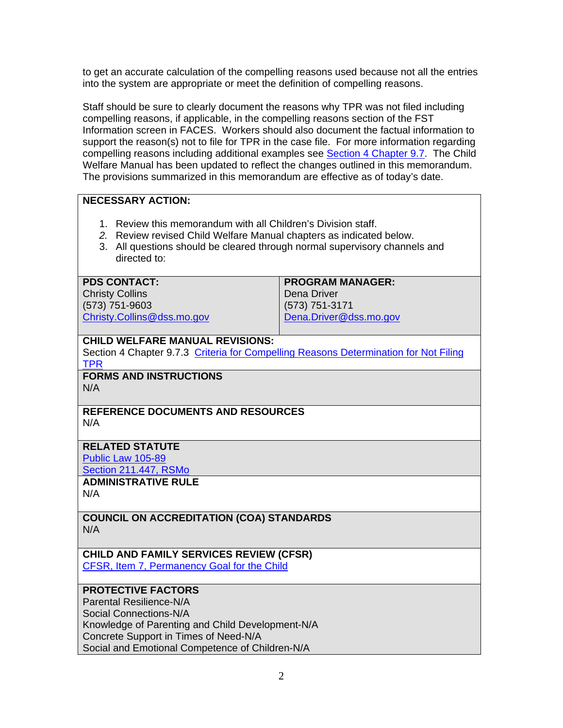to get an accurate calculation of the compelling reasons used because not all the entries into the system are appropriate or meet the definition of compelling reasons.

Staff should be sure to clearly document the reasons why TPR was not filed including compelling reasons, if applicable, in the compelling reasons section of the FST Information screen in FACES. Workers should also document the factual information to support the reason(s) not to file for TPR in the case file. For more information regarding compelling reasons including additional examples see [Section 4 Chapter 9.7.](http://www.dss.mo.gov/cd/info/cwmanual/section4/ch9/sec4ch9sub7_3.htm) The Child Welfare Manual has been updated to reflect the changes outlined in this memorandum. The provisions summarized in this memorandum are effective as of today's date.

# **NECESSARY ACTION:**

- 1. Review this memorandum with all Children's Division staff.
- *2.* Review revised Child Welfare Manual chapters as indicated below.
- 3. All questions should be cleared through normal supervisory channels and directed to:

#### **PDS CONTACT:**

Christy Collins (573) 751-9603 [Christy.Collins@dss.mo.gov](mailto:Christy.Collins@dss.mo.gov)

#### **PROGRAM MANAGER:**  Dena Driver

(573) 751-3171 [Dena.Driver@dss.mo.gov](mailto:Dena.Driver@dss.mo.gov)

## **CHILD WELFARE MANUAL REVISIONS:**

Section 4 Chapter 9.7.3 [Criteria for Compelling Reasons Determination for Not Filing](http://www.dss.mo.gov/cd/info/cwmanual/section4/ch9/sec4ch9sub7_3.htm)  [TPR](http://www.dss.mo.gov/cd/info/cwmanual/section4/ch9/sec4ch9sub7_3.htm) 

## **FORMS AND INSTRUCTIONS**  N/A

#### **REFERENCE DOCUMENTS AND RESOURCES**  N/A

# **RELATED STATUTE**

[Public Law 105-89](http://www.acf.hhs.gov/programs/cb/laws_policies/cblaws/public_law/pl105_89/pl105_89.htm)

[Section 211.447, RSMo](http://www.moga.mo.gov/statutes/c200-299/2110000447.htm)

## **ADMINISTRATIVE RULE**

N/A

#### **COUNCIL ON ACCREDITATION (COA) STANDARDS**  N/A

#### **CHILD AND FAMILY SERVICES REVIEW (CFSR)**  [CFSR, Item 7, Permanency Goal for the Child](http://dssweb/cs/training/cfsr/cfsr_perm_i_7.pdf)

## **PROTECTIVE FACTORS**

Parental Resilience-N/A Social Connections-N/A Knowledge of Parenting and Child Development-N/A Concrete Support in Times of Need-N/A Social and Emotional Competence of Children-N/A